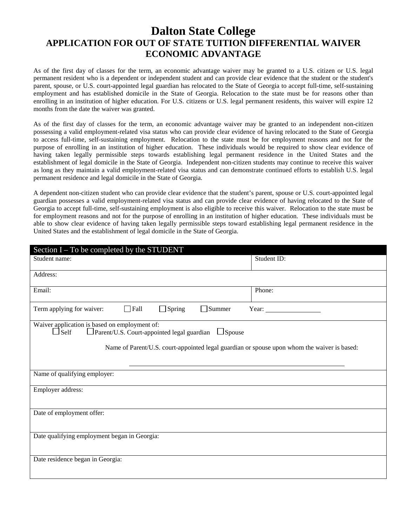# **Dalton State College APPLICATION FOR OUT OF STATE TUITION DIFFERENTIAL WAIVER ECONOMIC ADVANTAGE**

As of the first day of classes for the term, an economic advantage waiver may be granted to a U.S. citizen or U.S. legal permanent resident who is a dependent or independent student and can provide clear evidence that the student or the student's parent, spouse, or U.S. court-appointed legal guardian has relocated to the State of Georgia to accept full-time, self-sustaining employment and has established domicile in the State of Georgia. Relocation to the state must be for reasons other than enrolling in an institution of higher education. For U.S. citizens or U.S. legal permanent residents, this waiver will expire 12 months from the date the waiver was granted.

As of the first day of classes for the term, an economic advantage waiver may be granted to an independent non-citizen possessing a valid employment-related visa status who can provide clear evidence of having relocated to the State of Georgia to access full-time, self-sustaining employment. Relocation to the state must be for employment reasons and not for the purpose of enrolling in an institution of higher education. These individuals would be required to show clear evidence of having taken legally permissible steps towards establishing legal permanent residence in the United States and the establishment of legal domicile in the State of Georgia. Independent non-citizen students may continue to receive this waiver as long as they maintain a valid employment-related visa status and can demonstrate continued efforts to establish U.S. legal permanent residence and legal domicile in the State of Georgia.

A dependent non-citizen student who can provide clear evidence that the student's parent, spouse or U.S. court-appointed legal guardian possesses a valid employment-related visa status and can provide clear evidence of having relocated to the State of Georgia to accept full-time, self-sustaining employment is also eligible to receive this waiver. Relocation to the state must be for employment reasons and not for the purpose of enrolling in an institution of higher education. These individuals must be able to show clear evidence of having taken legally permissible steps toward establishing legal permanent residence in the United States and the establishment of legal domicile in the State of Georgia.

| Section $I - To$ be completed by the STUDENT                                                                                    |             |
|---------------------------------------------------------------------------------------------------------------------------------|-------------|
| Student name:                                                                                                                   | Student ID: |
| Address:                                                                                                                        |             |
| Email:                                                                                                                          | Phone:      |
| $\Box$ Spring<br>$\Box$ Fall<br>$\Box$ Summer<br>Term applying for waiver:                                                      | Year:       |
| Waiver application is based on employment of:<br>$\Box$ Parent/U.S. Court-appointed legal guardian $\Box$ Spouse<br>$\Box$ Self |             |
| Name of Parent/U.S. court-appointed legal guardian or spouse upon whom the waiver is based:                                     |             |
|                                                                                                                                 |             |
| Name of qualifying employer:                                                                                                    |             |
| Employer address:                                                                                                               |             |
| Date of employment offer:                                                                                                       |             |
| Date qualifying employment began in Georgia:                                                                                    |             |
| Date residence began in Georgia:                                                                                                |             |